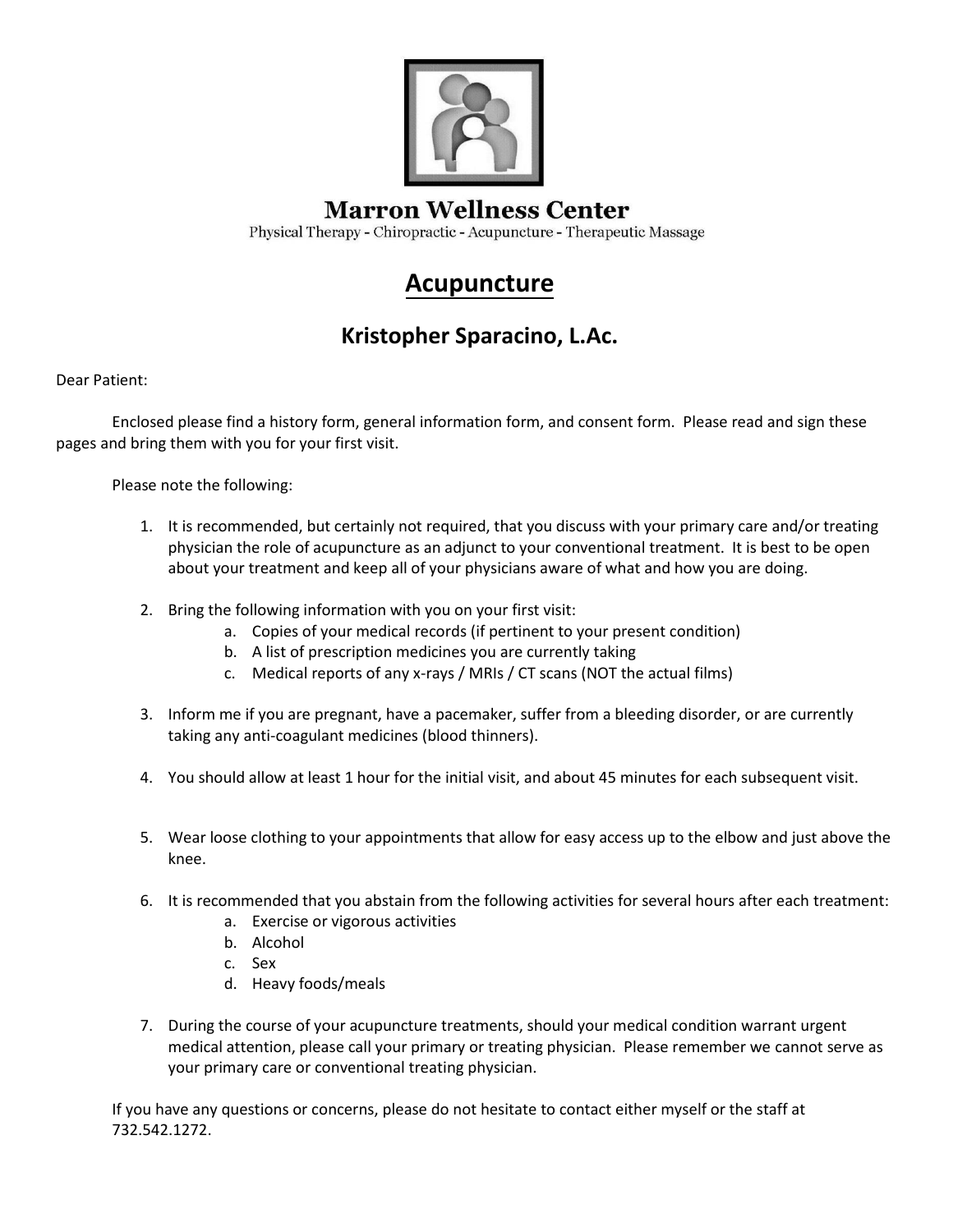

#### **Marron Wellness Center**

Physical Therapy - Chiropractic - Acupuncture - Therapeutic Massage

### **Acupuncture**

### **Kristopher Sparacino, L.Ac.**

Dear Patient:

Enclosed please find a history form, general information form, and consent form. Please read and sign these pages and bring them with you for your first visit.

Please note the following:

- 1. It is recommended, but certainly not required, that you discuss with your primary care and/or treating physician the role of acupuncture as an adjunct to your conventional treatment. It is best to be open about your treatment and keep all of your physicians aware of what and how you are doing.
- 2. Bring the following information with you on your first visit:
	- a. Copies of your medical records (if pertinent to your present condition)
	- b. A list of prescription medicines you are currently taking
	- c. Medical reports of any x-rays / MRIs / CT scans (NOT the actual films)
- 3. Inform me if you are pregnant, have a pacemaker, suffer from a bleeding disorder, or are currently taking any anti-coagulant medicines (blood thinners).
- 4. You should allow at least 1 hour for the initial visit, and about 45 minutes for each subsequent visit.
- 5. Wear loose clothing to your appointments that allow for easy access up to the elbow and just above the knee.
- 6. It is recommended that you abstain from the following activities for several hours after each treatment:
	- a. Exercise or vigorous activities
	- b. Alcohol
	- c. Sex
	- d. Heavy foods/meals
- 7. During the course of your acupuncture treatments, should your medical condition warrant urgent medical attention, please call your primary or treating physician. Please remember we cannot serve as your primary care or conventional treating physician.

If you have any questions or concerns, please do not hesitate to contact either myself or the staff at 732.542.1272.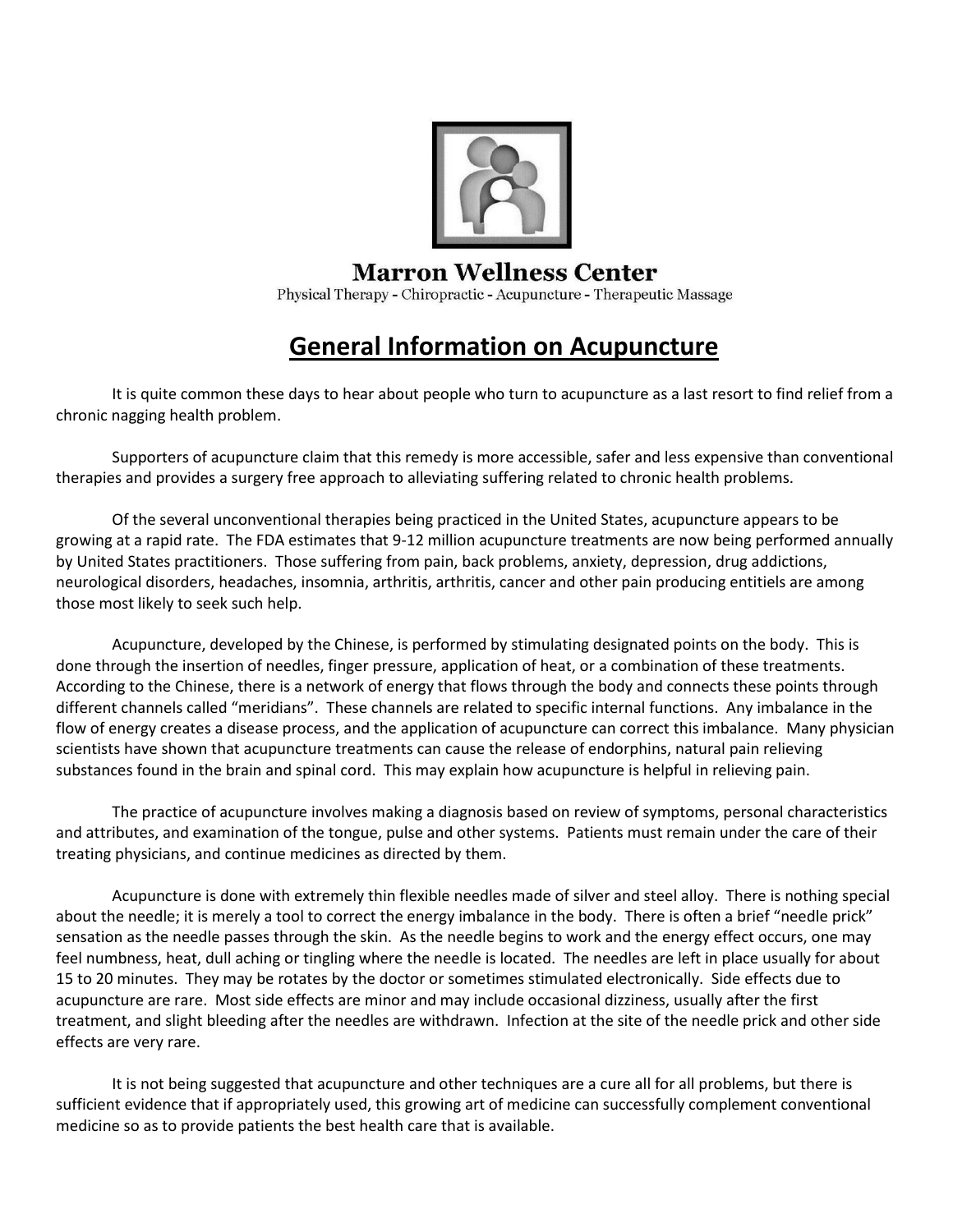

#### **Marron Wellness Center**

Physical Therapy - Chiropractic - Acupuncture - Therapeutic Massage

# **General Information on Acupuncture**

It is quite common these days to hear about people who turn to acupuncture as a last resort to find relief from a chronic nagging health problem.

Supporters of acupuncture claim that this remedy is more accessible, safer and less expensive than conventional therapies and provides a surgery free approach to alleviating suffering related to chronic health problems.

Of the several unconventional therapies being practiced in the United States, acupuncture appears to be growing at a rapid rate. The FDA estimates that 9-12 million acupuncture treatments are now being performed annually by United States practitioners. Those suffering from pain, back problems, anxiety, depression, drug addictions, neurological disorders, headaches, insomnia, arthritis, arthritis, cancer and other pain producing entitiels are among those most likely to seek such help.

Acupuncture, developed by the Chinese, is performed by stimulating designated points on the body. This is done through the insertion of needles, finger pressure, application of heat, or a combination of these treatments. According to the Chinese, there is a network of energy that flows through the body and connects these points through different channels called "meridians". These channels are related to specific internal functions. Any imbalance in the flow of energy creates a disease process, and the application of acupuncture can correct this imbalance. Many physician scientists have shown that acupuncture treatments can cause the release of endorphins, natural pain relieving substances found in the brain and spinal cord. This may explain how acupuncture is helpful in relieving pain.

The practice of acupuncture involves making a diagnosis based on review of symptoms, personal characteristics and attributes, and examination of the tongue, pulse and other systems. Patients must remain under the care of their treating physicians, and continue medicines as directed by them.

Acupuncture is done with extremely thin flexible needles made of silver and steel alloy. There is nothing special about the needle; it is merely a tool to correct the energy imbalance in the body. There is often a brief "needle prick" sensation as the needle passes through the skin. As the needle begins to work and the energy effect occurs, one may feel numbness, heat, dull aching or tingling where the needle is located. The needles are left in place usually for about 15 to 20 minutes. They may be rotates by the doctor or sometimes stimulated electronically. Side effects due to acupuncture are rare. Most side effects are minor and may include occasional dizziness, usually after the first treatment, and slight bleeding after the needles are withdrawn. Infection at the site of the needle prick and other side effects are very rare.

It is not being suggested that acupuncture and other techniques are a cure all for all problems, but there is sufficient evidence that if appropriately used, this growing art of medicine can successfully complement conventional medicine so as to provide patients the best health care that is available.